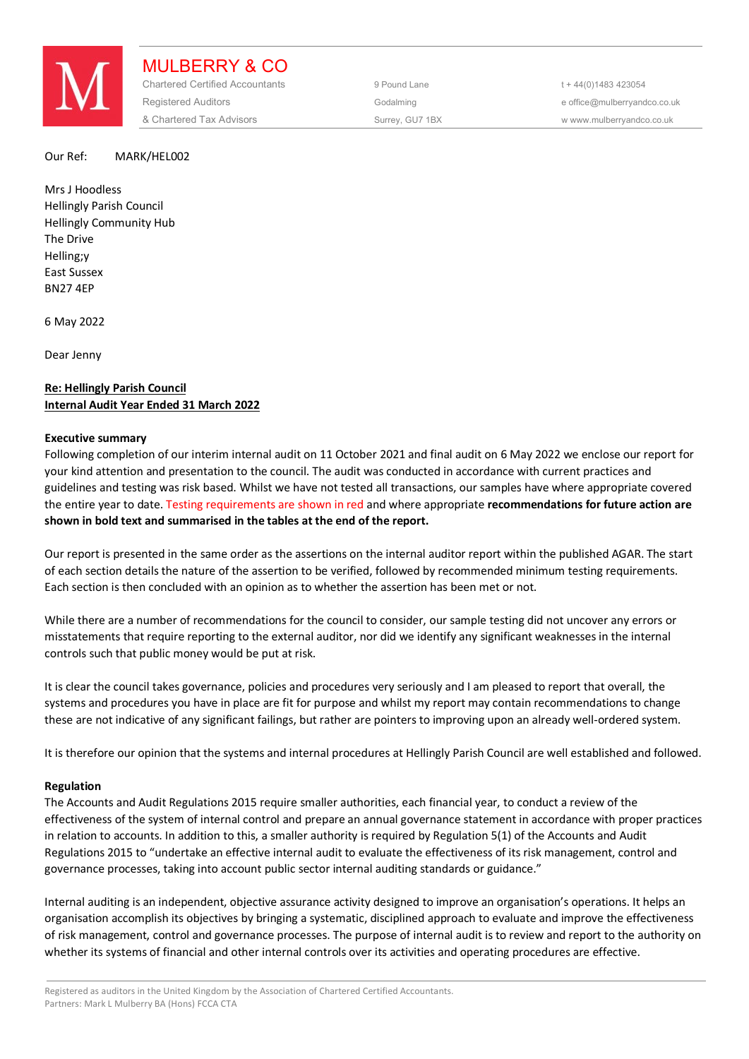

MULBERRY & CO Chartered Certified Accountants 9 Pound Lane 5 and the 44(0) 1483 423054 Registered Auditors and the Codalming Codalming and the office@mulberryandco.co.uk & Chartered Tax Advisors Surrey, GU7 1BX w www.mulberryandco.co.uk

### Our Ref: MARK/HEL002

Mrs J Hoodless Hellingly Parish Council Hellingly Community Hub The Drive Helling;y East Sussex BN27 4EP

6 May 2022

Dear Jenny

# **Re: Hellingly Parish Council Internal Audit Year Ended 31 March 2022**

# **Executive summary**

Following completion of our interim internal audit on 11 October 2021 and final audit on 6 May 2022 we enclose our report for your kind attention and presentation to the council. The audit was conducted in accordance with current practices and guidelines and testing was risk based. Whilst we have not tested all transactions, our samples have where appropriate covered the entire year to date. Testing requirements are shown in red and where appropriate **recommendations for future action are shown in bold text and summarised in the tables at the end of the report.** 

Our report is presented in the same order as the assertions on the internal auditor report within the published AGAR. The start of each section details the nature of the assertion to be verified, followed by recommended minimum testing requirements. Each section is then concluded with an opinion as to whether the assertion has been met or not.

While there are a number of recommendations for the council to consider, our sample testing did not uncover any errors or misstatements that require reporting to the external auditor, nor did we identify any significant weaknesses in the internal controls such that public money would be put at risk.

It is clear the council takes governance, policies and procedures very seriously and I am pleased to report that overall, the systems and procedures you have in place are fit for purpose and whilst my report may contain recommendations to change these are not indicative of any significant failings, but rather are pointers to improving upon an already well-ordered system.

It is therefore our opinion that the systems and internal procedures at Hellingly Parish Council are well established and followed.

# **Regulation**

The Accounts and Audit Regulations 2015 require smaller authorities, each financial year, to conduct a review of the effectiveness of the system of internal control and prepare an annual governance statement in accordance with proper practices in relation to accounts. In addition to this, a smaller authority is required by Regulation 5(1) of the Accounts and Audit Regulations 2015 to "undertake an effective internal audit to evaluate the effectiveness of its risk management, control and governance processes, taking into account public sector internal auditing standards or guidance."

Internal auditing is an independent, objective assurance activity designed to improve an organisation's operations. It helps an organisation accomplish its objectives by bringing a systematic, disciplined approach to evaluate and improve the effectiveness of risk management, control and governance processes. The purpose of internal audit is to review and report to the authority on whether its systems of financial and other internal controls over its activities and operating procedures are effective.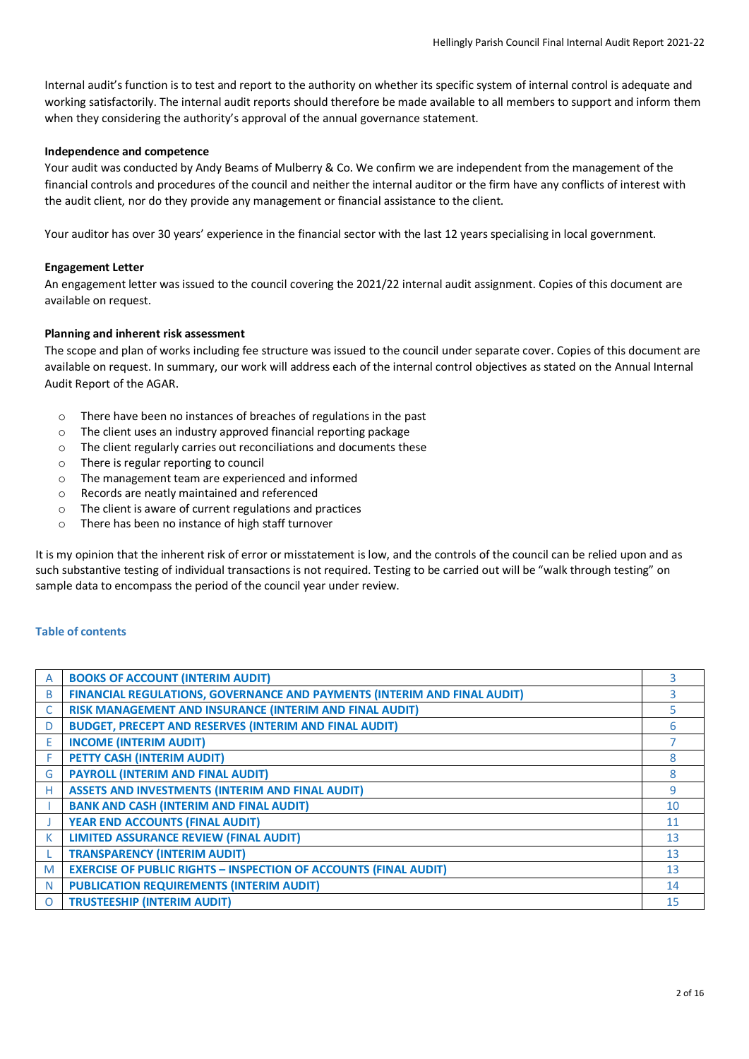Internal audit's function is to test and report to the authority on whether its specific system of internal control is adequate and working satisfactorily. The internal audit reports should therefore be made available to all members to support and inform them when they considering the authority's approval of the annual governance statement.

# **Independence and competence**

Your audit was conducted by Andy Beams of Mulberry & Co. We confirm we are independent from the management of the financial controls and procedures of the council and neither the internal auditor or the firm have any conflicts of interest with the audit client, nor do they provide any management or financial assistance to the client.

Your auditor has over 30 years' experience in the financial sector with the last 12 years specialising in local government.

# **Engagement Letter**

An engagement letter was issued to the council covering the 2021/22 internal audit assignment. Copies of this document are available on request.

# **Planning and inherent risk assessment**

The scope and plan of works including fee structure was issued to the council under separate cover. Copies of this document are available on request. In summary, our work will address each of the internal control objectives as stated on the Annual Internal Audit Report of the AGAR.

- o There have been no instances of breaches of regulations in the past
- o The client uses an industry approved financial reporting package
- o The client regularly carries out reconciliations and documents these
- o There is regular reporting to council
- o The management team are experienced and informed
- o Records are neatly maintained and referenced
- o The client is aware of current regulations and practices
- o There has been no instance of high staff turnover

It is my opinion that the inherent risk of error or misstatement is low, and the controls of the council can be relied upon and as such substantive testing of individual transactions is not required. Testing to be carried out will be "walk through testing" on sample data to encompass the period of the council year under review.

# **Table of contents**

| A | <b>BOOKS OF ACCOUNT (INTERIM AUDIT)</b>                                  | 3  |
|---|--------------------------------------------------------------------------|----|
| B | FINANCIAL REGULATIONS, GOVERNANCE AND PAYMENTS (INTERIM AND FINAL AUDIT) | 3  |
|   | RISK MANAGEMENT AND INSURANCE (INTERIM AND FINAL AUDIT)                  | 5  |
| D | <b>BUDGET, PRECEPT AND RESERVES (INTERIM AND FINAL AUDIT)</b>            | 6  |
| E | <b>INCOME (INTERIM AUDIT)</b>                                            |    |
| F | PETTY CASH (INTERIM AUDIT)                                               | 8  |
| G | <b>PAYROLL (INTERIM AND FINAL AUDIT)</b>                                 | 8  |
| н | <b>ASSETS AND INVESTMENTS (INTERIM AND FINAL AUDIT)</b>                  | 9  |
|   | <b>BANK AND CASH (INTERIM AND FINAL AUDIT)</b>                           | 10 |
|   | <b>YEAR END ACCOUNTS (FINAL AUDIT)</b>                                   | 11 |
| к | <b>LIMITED ASSURANCE REVIEW (FINAL AUDIT)</b>                            | 13 |
|   | <b>TRANSPARENCY (INTERIM AUDIT)</b>                                      | 13 |
| M | <b>EXERCISE OF PUBLIC RIGHTS - INSPECTION OF ACCOUNTS (FINAL AUDIT)</b>  | 13 |
| N | <b>PUBLICATION REQUIREMENTS (INTERIM AUDIT)</b>                          | 14 |
| O | <b>TRUSTEESHIP (INTERIM AUDIT)</b>                                       | 15 |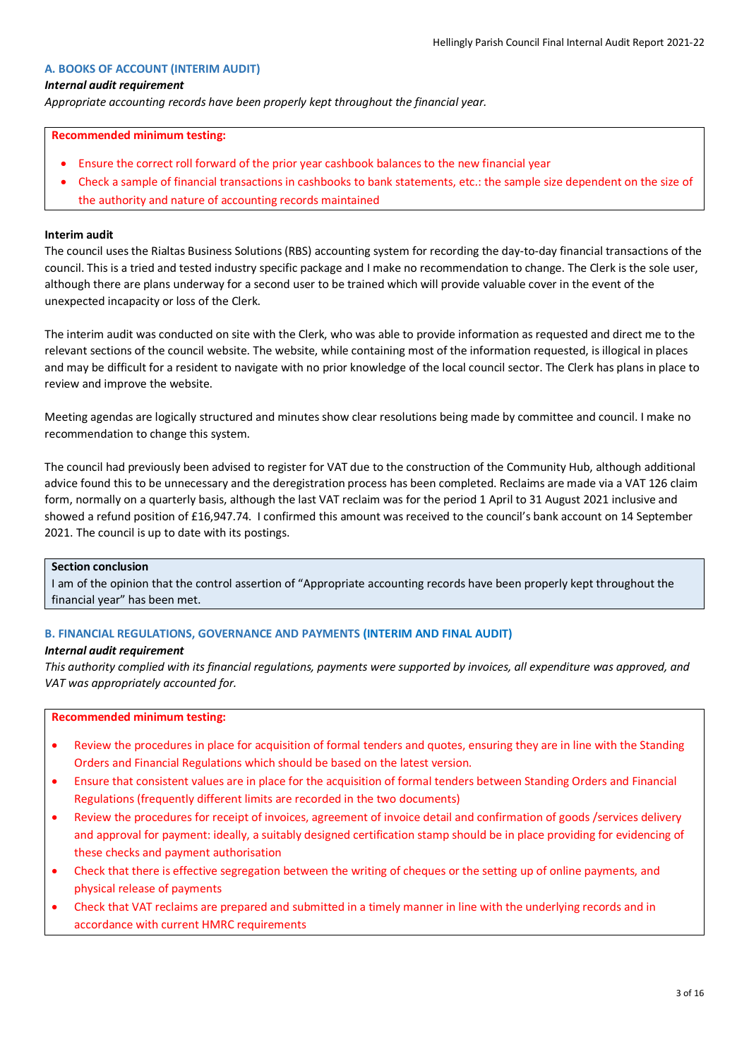### **A. BOOKS OF ACCOUNT (INTERIM AUDIT)**

### *Internal audit requirement*

*Appropriate accounting records have been properly kept throughout the financial year.*

#### **Recommended minimum testing:**

- Ensure the correct roll forward of the prior year cashbook balances to the new financial year
- Check a sample of financial transactions in cashbooks to bank statements, etc.: the sample size dependent on the size of the authority and nature of accounting records maintained

### **Interim audit**

The council uses the Rialtas Business Solutions (RBS) accounting system for recording the day-to-day financial transactions of the council. This is a tried and tested industry specific package and I make no recommendation to change. The Clerk is the sole user, although there are plans underway for a second user to be trained which will provide valuable cover in the event of the unexpected incapacity or loss of the Clerk.

The interim audit was conducted on site with the Clerk, who was able to provide information as requested and direct me to the relevant sections of the council website. The website, while containing most of the information requested, is illogical in places and may be difficult for a resident to navigate with no prior knowledge of the local council sector. The Clerk has plans in place to review and improve the website.

Meeting agendas are logically structured and minutes show clear resolutions being made by committee and council. I make no recommendation to change this system.

The council had previously been advised to register for VAT due to the construction of the Community Hub, although additional advice found this to be unnecessary and the deregistration process has been completed. Reclaims are made via a VAT 126 claim form, normally on a quarterly basis, although the last VAT reclaim was for the period 1 April to 31 August 2021 inclusive and showed a refund position of £16,947.74. I confirmed this amount was received to the council's bank account on 14 September 2021. The council is up to date with its postings.

### **Section conclusion**

I am of the opinion that the control assertion of "Appropriate accounting records have been properly kept throughout the financial year" has been met.

#### **B. FINANCIAL REGULATIONS, GOVERNANCE AND PAYMENTS (INTERIM AND FINAL AUDIT)**

### *Internal audit requirement*

*This authority complied with its financial regulations, payments were supported by invoices, all expenditure was approved, and VAT was appropriately accounted for.*

- Review the procedures in place for acquisition of formal tenders and quotes, ensuring they are in line with the Standing Orders and Financial Regulations which should be based on the latest version.
- Ensure that consistent values are in place for the acquisition of formal tenders between Standing Orders and Financial Regulations (frequently different limits are recorded in the two documents)
- Review the procedures for receipt of invoices, agreement of invoice detail and confirmation of goods /services delivery and approval for payment: ideally, a suitably designed certification stamp should be in place providing for evidencing of these checks and payment authorisation
- Check that there is effective segregation between the writing of cheques or the setting up of online payments, and physical release of payments
- Check that VAT reclaims are prepared and submitted in a timely manner in line with the underlying records and in accordance with current HMRC requirements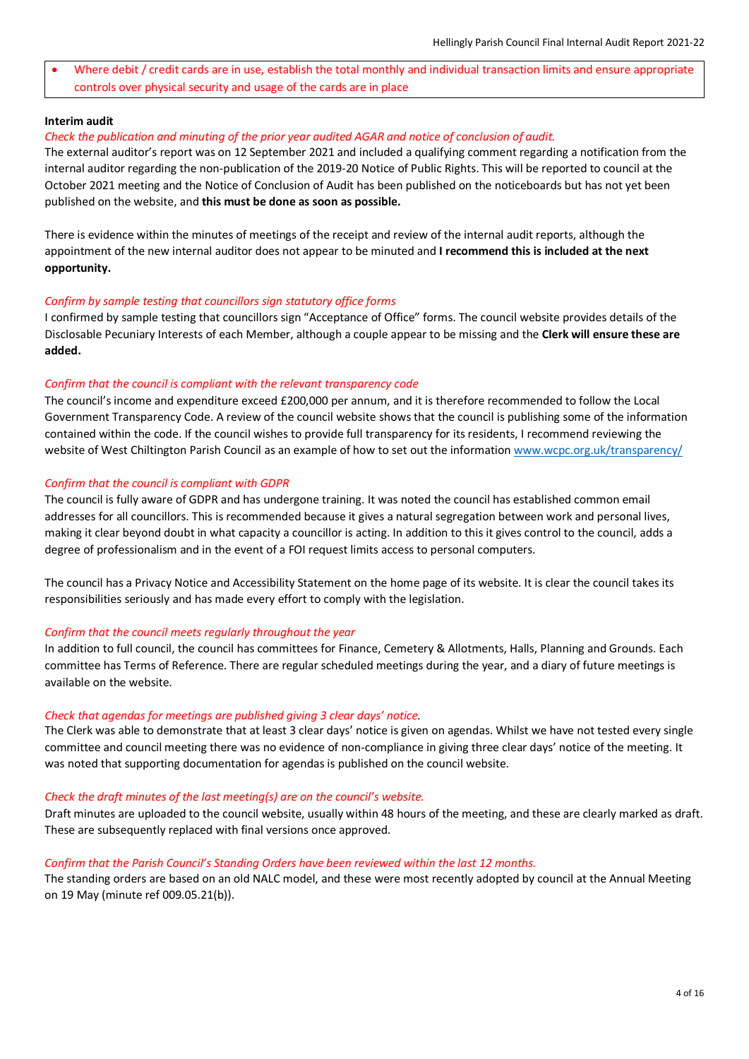Where debit / credit cards are in use, establish the total monthly and individual transaction limits and ensure appropriate controls over physical security and usage of the cards are in place

### **Interim audit**

#### *Check the publication and minuting of the prior year audited AGAR and notice of conclusion of audit.*

The external auditor's report was on 12 September 2021 and included a qualifying comment regarding a notification from the internal auditor regarding the non-publication of the 2019-20 Notice of Public Rights. This will be reported to council at the October 2021 meeting and the Notice of Conclusion of Audit has been published on the noticeboards but has not yet been published on the website, and **this must be done as soon as possible.**

There is evidence within the minutes of meetings of the receipt and review of the internal audit reports, although the appointment of the new internal auditor does not appear to be minuted and **I recommend this is included at the next opportunity.**

#### *Confirm by sample testing that councillors sign statutory office forms*

I confirmed by sample testing that councillors sign "Acceptance of Office" forms. The council website provides details of the Disclosable Pecuniary Interests of each Member, although a couple appear to be missing and the **Clerk will ensure these are added.**

#### *Confirm that the council is compliant with the relevant transparency code*

The council's income and expenditure exceed £200,000 per annum, and it is therefore recommended to follow the Local Government Transparency Code. A review of the council website shows that the council is publishing some of the information contained within the code. If the council wishes to provide full transparency for its residents, I recommend reviewing the website of West Chiltington Parish Council as an example of how to set out the information [www.wcpc.org.uk/transparency/](https://www.wcpc.org.uk/transparency/) 

#### *Confirm that the council is compliant with GDPR*

The council is fully aware of GDPR and has undergone training. It was noted the council has established common email addresses for all councillors. This is recommended because it gives a natural segregation between work and personal lives, making it clear beyond doubt in what capacity a councillor is acting. In addition to this it gives control to the council, adds a degree of professionalism and in the event of a FOI request limits access to personal computers.

The council has a Privacy Notice and Accessibility Statement on the home page of its website. It is clear the council takes its responsibilities seriously and has made every effort to comply with the legislation.

#### *Confirm that the council meets regularly throughout the year*

In addition to full council, the council has committees for Finance, Cemetery & Allotments, Halls, Planning and Grounds. Each committee has Terms of Reference. There are regular scheduled meetings during the year, and a diary of future meetings is available on the website.

#### *Check that agendas for meetings are published giving 3 clear days' notice.*

The Clerk was able to demonstrate that at least 3 clear days' notice is given on agendas. Whilst we have not tested every single committee and council meeting there was no evidence of non-compliance in giving three clear days' notice of the meeting. It was noted that supporting documentation for agendas is published on the council website.

#### *Check the draft minutes of the last meeting(s) are on the council's website.*

Draft minutes are uploaded to the council website, usually within 48 hours of the meeting, and these are clearly marked as draft. These are subsequently replaced with final versions once approved.

#### *Confirm that the Parish Council's Standing Orders have been reviewed within the last 12 months.*

The standing orders are based on an old NALC model, and these were most recently adopted by council at the Annual Meeting on 19 May (minute ref 009.05.21(b)).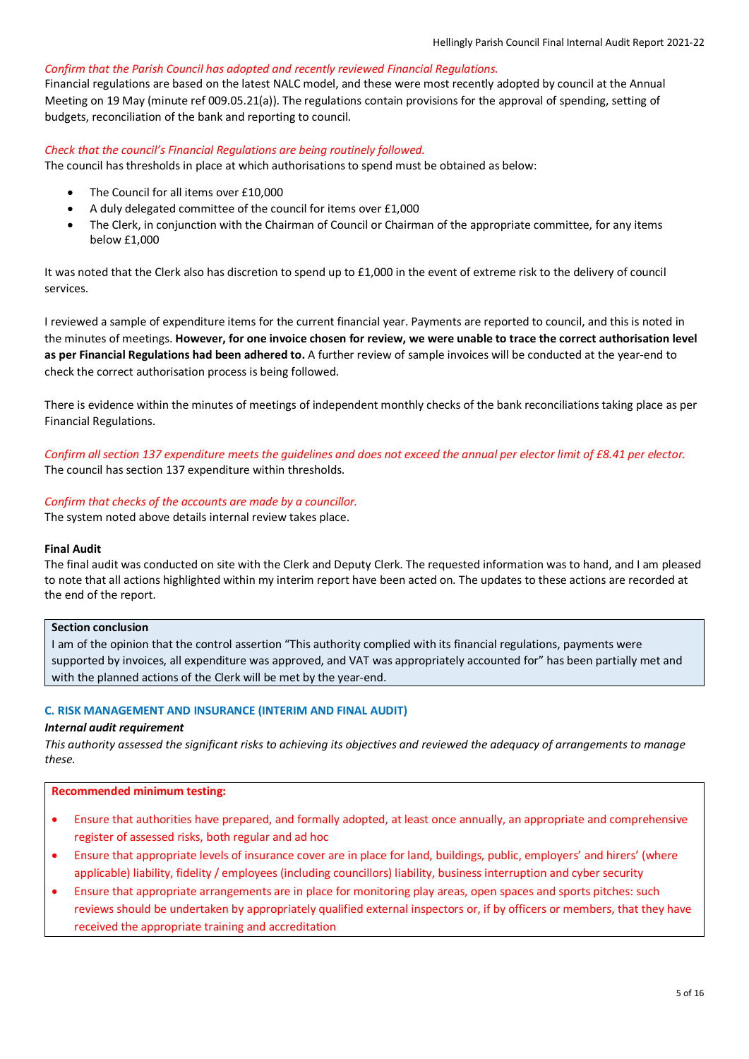### *Confirm that the Parish Council has adopted and recently reviewed Financial Regulations.*

Financial regulations are based on the latest NALC model, and these were most recently adopted by council at the Annual Meeting on 19 May (minute ref 009.05.21(a)). The regulations contain provisions for the approval of spending, setting of budgets, reconciliation of the bank and reporting to council.

### *Check that the council's Financial Regulations are being routinely followed.*

The council has thresholds in place at which authorisations to spend must be obtained as below:

- The Council for all items over £10,000
- A duly delegated committee of the council for items over £1,000
- The Clerk, in conjunction with the Chairman of Council or Chairman of the appropriate committee, for any items below £1,000

It was noted that the Clerk also has discretion to spend up to £1,000 in the event of extreme risk to the delivery of council services.

I reviewed a sample of expenditure items for the current financial year. Payments are reported to council, and this is noted in the minutes of meetings. **However, for one invoice chosen for review, we were unable to trace the correct authorisation level as per Financial Regulations had been adhered to.** A further review of sample invoices will be conducted at the year-end to check the correct authorisation process is being followed.

There is evidence within the minutes of meetings of independent monthly checks of the bank reconciliations taking place as per Financial Regulations.

*Confirm all section 137 expenditure meets the guidelines and does not exceed the annual per elector limit of £8.41 per elector.* The council has section 137 expenditure within thresholds.

# *Confirm that checks of the accounts are made by a councillor.*

The system noted above details internal review takes place.

# **Final Audit**

The final audit was conducted on site with the Clerk and Deputy Clerk. The requested information was to hand, and I am pleased to note that all actions highlighted within my interim report have been acted on. The updates to these actions are recorded at the end of the report.

# **Section conclusion**

I am of the opinion that the control assertion "This authority complied with its financial regulations, payments were supported by invoices, all expenditure was approved, and VAT was appropriately accounted for" has been partially met and with the planned actions of the Clerk will be met by the year-end.

# **C. RISK MANAGEMENT AND INSURANCE (INTERIM AND FINAL AUDIT)**

# *Internal audit requirement*

*This authority assessed the significant risks to achieving its objectives and reviewed the adequacy of arrangements to manage these.*

- Ensure that authorities have prepared, and formally adopted, at least once annually, an appropriate and comprehensive register of assessed risks, both regular and ad hoc
- Ensure that appropriate levels of insurance cover are in place for land, buildings, public, employers' and hirers' (where applicable) liability, fidelity / employees (including councillors) liability, business interruption and cyber security
- Ensure that appropriate arrangements are in place for monitoring play areas, open spaces and sports pitches: such reviews should be undertaken by appropriately qualified external inspectors or, if by officers or members, that they have received the appropriate training and accreditation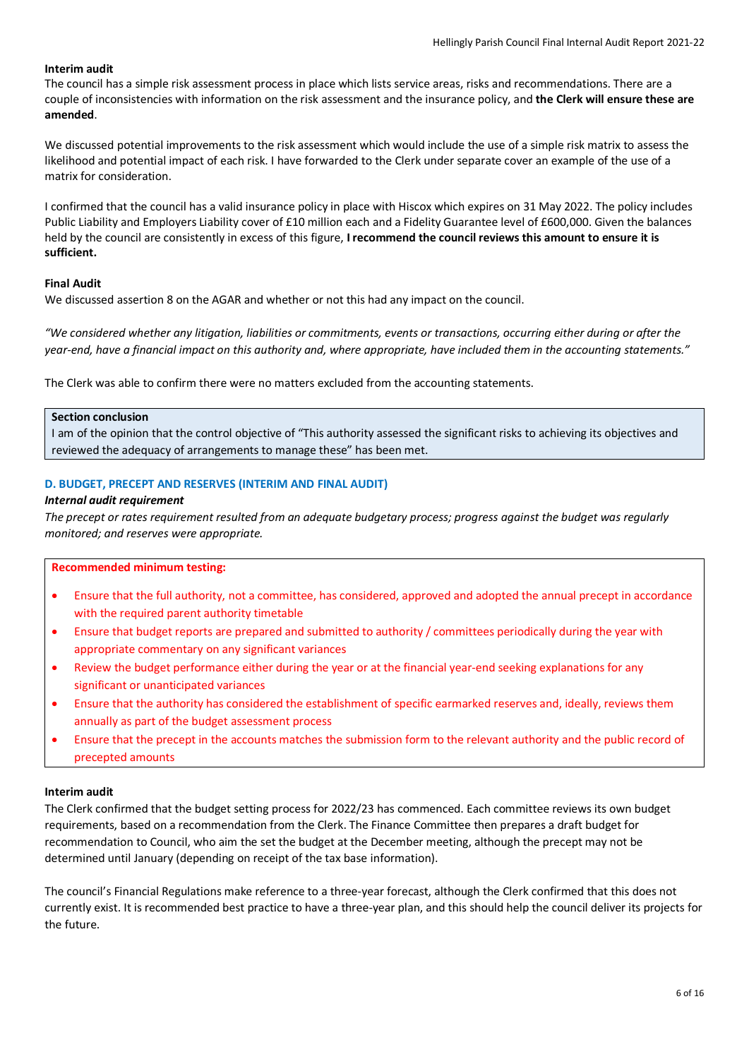# **Interim audit**

The council has a simple risk assessment process in place which lists service areas, risks and recommendations. There are a couple of inconsistencies with information on the risk assessment and the insurance policy, and **the Clerk will ensure these are amended**.

We discussed potential improvements to the risk assessment which would include the use of a simple risk matrix to assess the likelihood and potential impact of each risk. I have forwarded to the Clerk under separate cover an example of the use of a matrix for consideration.

I confirmed that the council has a valid insurance policy in place with Hiscox which expires on 31 May 2022. The policy includes Public Liability and Employers Liability cover of £10 million each and a Fidelity Guarantee level of £600,000. Given the balances held by the council are consistently in excess of this figure, **I recommend the council reviews this amount to ensure it is sufficient.**

# **Final Audit**

We discussed assertion 8 on the AGAR and whether or not this had any impact on the council.

*"We considered whether any litigation, liabilities or commitments, events or transactions, occurring either during or after the year-end, have a financial impact on this authority and, where appropriate, have included them in the accounting statements."*

The Clerk was able to confirm there were no matters excluded from the accounting statements.

### **Section conclusion**

I am of the opinion that the control objective of "This authority assessed the significant risks to achieving its objectives and reviewed the adequacy of arrangements to manage these" has been met.

### **D. BUDGET, PRECEPT AND RESERVES (INTERIM AND FINAL AUDIT)**

### *Internal audit requirement*

*The precept or rates requirement resulted from an adequate budgetary process; progress against the budget was regularly monitored; and reserves were appropriate.*

#### **Recommended minimum testing:**

- Ensure that the full authority, not a committee, has considered, approved and adopted the annual precept in accordance with the required parent authority timetable
- Ensure that budget reports are prepared and submitted to authority / committees periodically during the year with appropriate commentary on any significant variances
- Review the budget performance either during the year or at the financial year-end seeking explanations for any significant or unanticipated variances
- Ensure that the authority has considered the establishment of specific earmarked reserves and, ideally, reviews them annually as part of the budget assessment process
- Ensure that the precept in the accounts matches the submission form to the relevant authority and the public record of precepted amounts

### **Interim audit**

The Clerk confirmed that the budget setting process for 2022/23 has commenced. Each committee reviews its own budget requirements, based on a recommendation from the Clerk. The Finance Committee then prepares a draft budget for recommendation to Council, who aim the set the budget at the December meeting, although the precept may not be determined until January (depending on receipt of the tax base information).

The council's Financial Regulations make reference to a three-year forecast, although the Clerk confirmed that this does not currently exist. It is recommended best practice to have a three-year plan, and this should help the council deliver its projects for the future.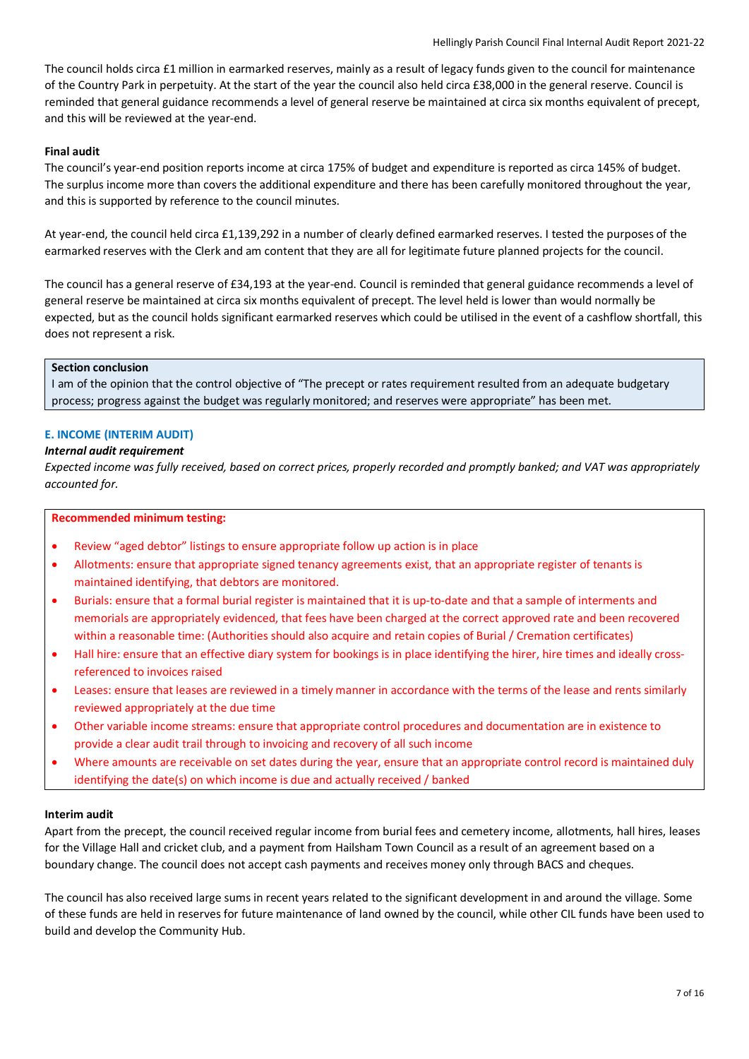The council holds circa £1 million in earmarked reserves, mainly as a result of legacy funds given to the council for maintenance of the Country Park in perpetuity. At the start of the year the council also held circa £38,000 in the general reserve. Council is reminded that general guidance recommends a level of general reserve be maintained at circa six months equivalent of precept, and this will be reviewed at the year-end.

# **Final audit**

The council's year-end position reports income at circa 175% of budget and expenditure is reported as circa 145% of budget. The surplus income more than covers the additional expenditure and there has been carefully monitored throughout the year, and this is supported by reference to the council minutes.

At year-end, the council held circa £1,139,292 in a number of clearly defined earmarked reserves. I tested the purposes of the earmarked reserves with the Clerk and am content that they are all for legitimate future planned projects for the council.

The council has a general reserve of £34,193 at the year-end. Council is reminded that general guidance recommends a level of general reserve be maintained at circa six months equivalent of precept. The level held is lower than would normally be expected, but as the council holds significant earmarked reserves which could be utilised in the event of a cashflow shortfall, this does not represent a risk.

### **Section conclusion**

I am of the opinion that the control objective of "The precept or rates requirement resulted from an adequate budgetary process; progress against the budget was regularly monitored; and reserves were appropriate" has been met.

# **E. INCOME (INTERIM AUDIT)**

# *Internal audit requirement*

*Expected income was fully received, based on correct prices, properly recorded and promptly banked; and VAT was appropriately accounted for.*

# **Recommended minimum testing:**

- Review "aged debtor" listings to ensure appropriate follow up action is in place
- Allotments: ensure that appropriate signed tenancy agreements exist, that an appropriate register of tenants is maintained identifying, that debtors are monitored.
- Burials: ensure that a formal burial register is maintained that it is up-to-date and that a sample of interments and memorials are appropriately evidenced, that fees have been charged at the correct approved rate and been recovered within a reasonable time: (Authorities should also acquire and retain copies of Burial / Cremation certificates)
- Hall hire: ensure that an effective diary system for bookings is in place identifying the hirer, hire times and ideally crossreferenced to invoices raised
- Leases: ensure that leases are reviewed in a timely manner in accordance with the terms of the lease and rents similarly reviewed appropriately at the due time
- Other variable income streams: ensure that appropriate control procedures and documentation are in existence to provide a clear audit trail through to invoicing and recovery of all such income
- Where amounts are receivable on set dates during the year, ensure that an appropriate control record is maintained duly identifying the date(s) on which income is due and actually received / banked

# **Interim audit**

Apart from the precept, the council received regular income from burial fees and cemetery income, allotments, hall hires, leases for the Village Hall and cricket club, and a payment from Hailsham Town Council as a result of an agreement based on a boundary change. The council does not accept cash payments and receives money only through BACS and cheques.

The council has also received large sums in recent years related to the significant development in and around the village. Some of these funds are held in reserves for future maintenance of land owned by the council, while other CIL funds have been used to build and develop the Community Hub.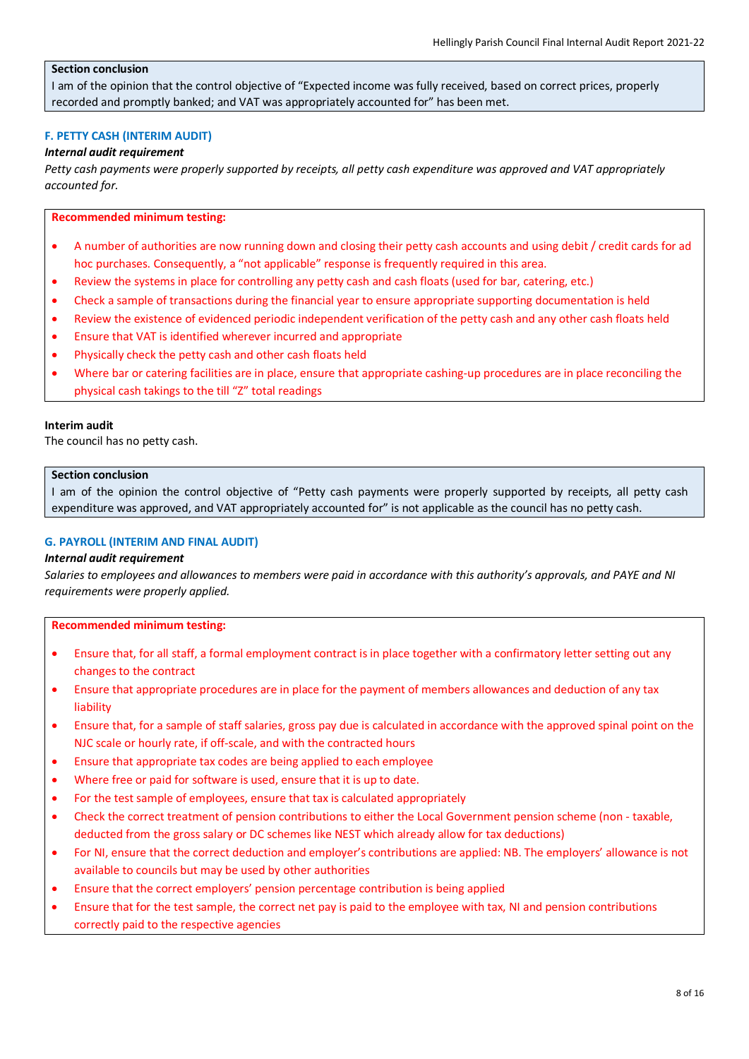# **Section conclusion**

I am of the opinion that the control objective of "Expected income was fully received, based on correct prices, properly recorded and promptly banked; and VAT was appropriately accounted for" has been met.

# **F. PETTY CASH (INTERIM AUDIT)**

### *Internal audit requirement*

*Petty cash payments were properly supported by receipts, all petty cash expenditure was approved and VAT appropriately accounted for.*

### **Recommended minimum testing:**

- A number of authorities are now running down and closing their petty cash accounts and using debit / credit cards for ad hoc purchases. Consequently, a "not applicable" response is frequently required in this area.
- Review the systems in place for controlling any petty cash and cash floats (used for bar, catering, etc.)
- Check a sample of transactions during the financial year to ensure appropriate supporting documentation is held
- Review the existence of evidenced periodic independent verification of the petty cash and any other cash floats held
- Ensure that VAT is identified wherever incurred and appropriate
- Physically check the petty cash and other cash floats held
- Where bar or catering facilities are in place, ensure that appropriate cashing-up procedures are in place reconciling the physical cash takings to the till "Z" total readings

#### **Interim audit**

The council has no petty cash.

#### **Section conclusion**

I am of the opinion the control objective of "Petty cash payments were properly supported by receipts, all petty cash expenditure was approved, and VAT appropriately accounted for" is not applicable as the council has no petty cash.

### **G. PAYROLL (INTERIM AND FINAL AUDIT)**

#### *Internal audit requirement*

*Salaries to employees and allowances to members were paid in accordance with this authority's approvals, and PAYE and NI requirements were properly applied.*

- Ensure that, for all staff, a formal employment contract is in place together with a confirmatory letter setting out any changes to the contract
- Ensure that appropriate procedures are in place for the payment of members allowances and deduction of any tax liability
- Ensure that, for a sample of staff salaries, gross pay due is calculated in accordance with the approved spinal point on the NJC scale or hourly rate, if off-scale, and with the contracted hours
- Ensure that appropriate tax codes are being applied to each employee
- Where free or paid for software is used, ensure that it is up to date.
- For the test sample of employees, ensure that tax is calculated appropriately
- Check the correct treatment of pension contributions to either the Local Government pension scheme (non taxable, deducted from the gross salary or DC schemes like NEST which already allow for tax deductions)
- For NI, ensure that the correct deduction and employer's contributions are applied: NB. The employers' allowance is not available to councils but may be used by other authorities
- Ensure that the correct employers' pension percentage contribution is being applied
- Ensure that for the test sample, the correct net pay is paid to the employee with tax, NI and pension contributions correctly paid to the respective agencies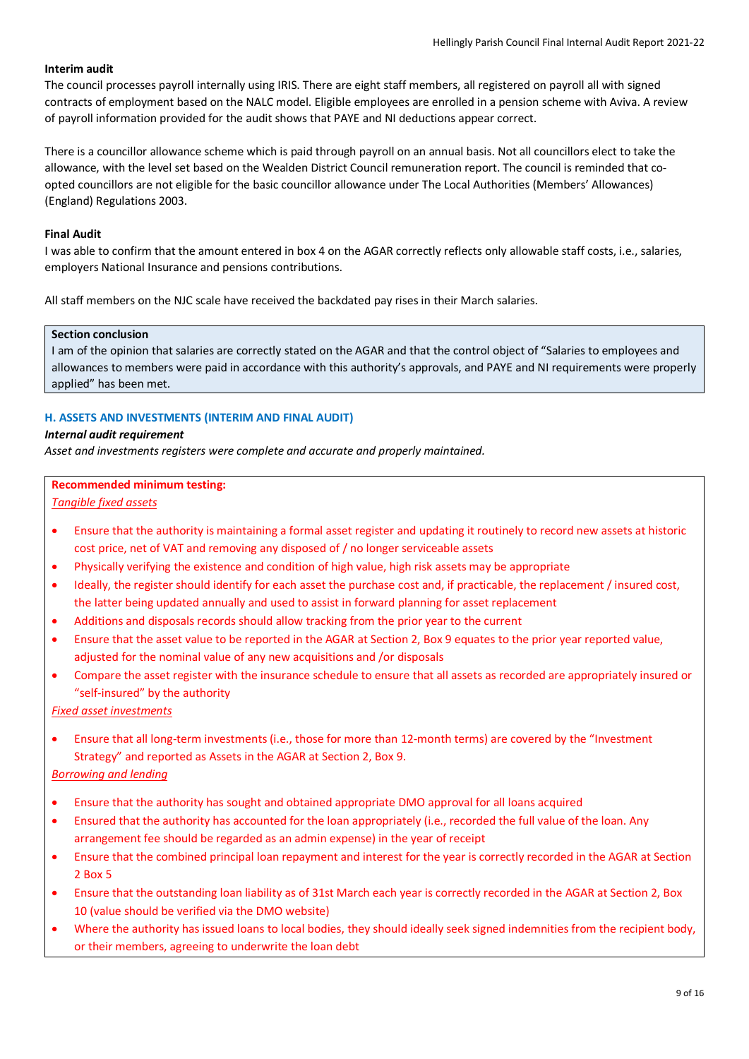# **Interim audit**

The council processes payroll internally using IRIS. There are eight staff members, all registered on payroll all with signed contracts of employment based on the NALC model. Eligible employees are enrolled in a pension scheme with Aviva. A review of payroll information provided for the audit shows that PAYE and NI deductions appear correct.

There is a councillor allowance scheme which is paid through payroll on an annual basis. Not all councillors elect to take the allowance, with the level set based on the Wealden District Council remuneration report. The council is reminded that coopted councillors are not eligible for the basic councillor allowance under The Local Authorities (Members' Allowances) (England) Regulations 2003.

# **Final Audit**

I was able to confirm that the amount entered in box 4 on the AGAR correctly reflects only allowable staff costs, i.e., salaries, employers National Insurance and pensions contributions.

All staff members on the NJC scale have received the backdated pay rises in their March salaries.

#### **Section conclusion**

I am of the opinion that salaries are correctly stated on the AGAR and that the control object of "Salaries to employees and allowances to members were paid in accordance with this authority's approvals, and PAYE and NI requirements were properly applied" has been met.

# **H. ASSETS AND INVESTMENTS (INTERIM AND FINAL AUDIT)**

# *Internal audit requirement*

*Asset and investments registers were complete and accurate and properly maintained.*

# **Recommended minimum testing:**

*Tangible fixed assets*

- Ensure that the authority is maintaining a formal asset register and updating it routinely to record new assets at historic cost price, net of VAT and removing any disposed of / no longer serviceable assets
- Physically verifying the existence and condition of high value, high risk assets may be appropriate
- Ideally, the register should identify for each asset the purchase cost and, if practicable, the replacement / insured cost, the latter being updated annually and used to assist in forward planning for asset replacement
- Additions and disposals records should allow tracking from the prior year to the current
- Ensure that the asset value to be reported in the AGAR at Section 2, Box 9 equates to the prior year reported value, adjusted for the nominal value of any new acquisitions and /or disposals
- Compare the asset register with the insurance schedule to ensure that all assets as recorded are appropriately insured or "self-insured" by the authority

*Fixed asset investments*

• Ensure that all long-term investments (i.e., those for more than 12-month terms) are covered by the "Investment Strategy" and reported as Assets in the AGAR at Section 2, Box 9.

# *Borrowing and lending*

- Ensure that the authority has sought and obtained appropriate DMO approval for all loans acquired
- Ensured that the authority has accounted for the loan appropriately (i.e., recorded the full value of the loan. Any arrangement fee should be regarded as an admin expense) in the year of receipt
- Ensure that the combined principal loan repayment and interest for the year is correctly recorded in the AGAR at Section 2 Box 5
- Ensure that the outstanding loan liability as of 31st March each year is correctly recorded in the AGAR at Section 2, Box 10 (value should be verified via the DMO website)
- Where the authority has issued loans to local bodies, they should ideally seek signed indemnities from the recipient body, or their members, agreeing to underwrite the loan debt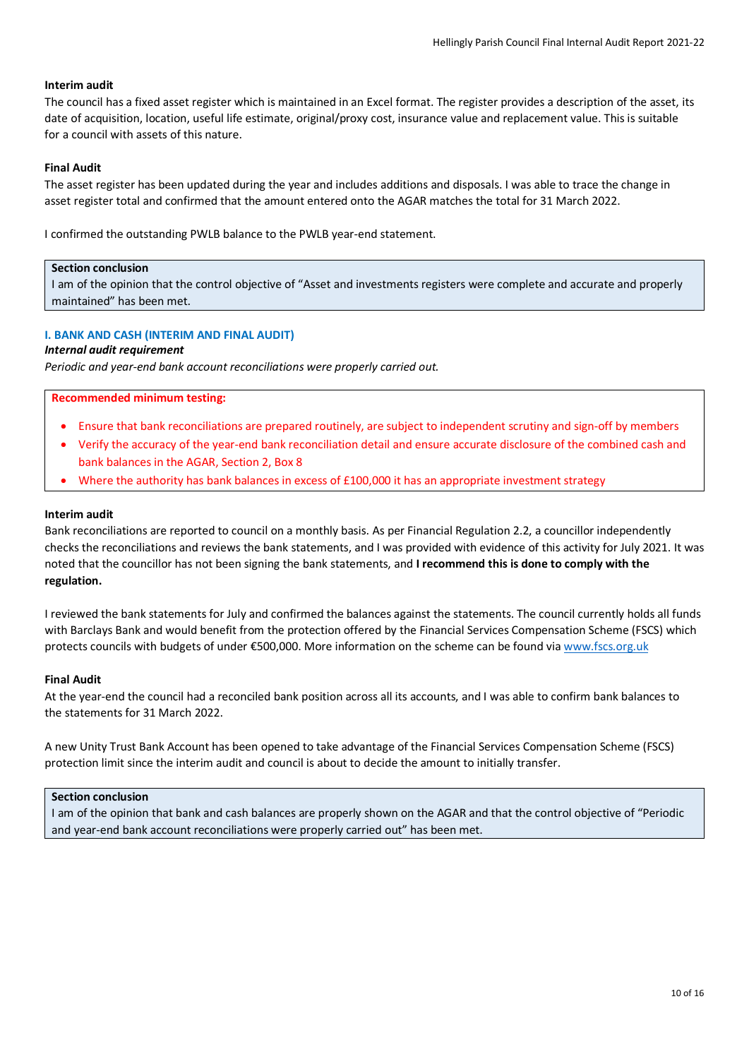### **Interim audit**

The council has a fixed asset register which is maintained in an Excel format. The register provides a description of the asset, its date of acquisition, location, useful life estimate, original/proxy cost, insurance value and replacement value. This is suitable for a council with assets of this nature.

#### **Final Audit**

The asset register has been updated during the year and includes additions and disposals. I was able to trace the change in asset register total and confirmed that the amount entered onto the AGAR matches the total for 31 March 2022.

I confirmed the outstanding PWLB balance to the PWLB year-end statement.

#### **Section conclusion**

I am of the opinion that the control objective of "Asset and investments registers were complete and accurate and properly maintained" has been met.

### **I. BANK AND CASH (INTERIM AND FINAL AUDIT)**

# *Internal audit requirement*

*Periodic and year-end bank account reconciliations were properly carried out.*

#### **Recommended minimum testing:**

- Ensure that bank reconciliations are prepared routinely, are subject to independent scrutiny and sign-off by members
- Verify the accuracy of the year-end bank reconciliation detail and ensure accurate disclosure of the combined cash and bank balances in the AGAR, Section 2, Box 8
- Where the authority has bank balances in excess of £100,000 it has an appropriate investment strategy

#### **Interim audit**

Bank reconciliations are reported to council on a monthly basis. As per Financial Regulation 2.2, a councillor independently checks the reconciliations and reviews the bank statements, and I was provided with evidence of this activity for July 2021. It was noted that the councillor has not been signing the bank statements, and **I recommend this is done to comply with the regulation.**

I reviewed the bank statements for July and confirmed the balances against the statements. The council currently holds all funds with Barclays Bank and would benefit from the protection offered by the Financial Services Compensation Scheme (FSCS) which protects councils with budgets of under €500,000. More information on the scheme can be found via [www.fscs.org.uk](http://www.fscs.org.uk/)

#### **Final Audit**

At the year-end the council had a reconciled bank position across all its accounts, and I was able to confirm bank balances to the statements for 31 March 2022.

A new Unity Trust Bank Account has been opened to take advantage of the Financial Services Compensation Scheme (FSCS) protection limit since the interim audit and council is about to decide the amount to initially transfer.

### **Section conclusion**

I am of the opinion that bank and cash balances are properly shown on the AGAR and that the control objective of "Periodic and year-end bank account reconciliations were properly carried out" has been met.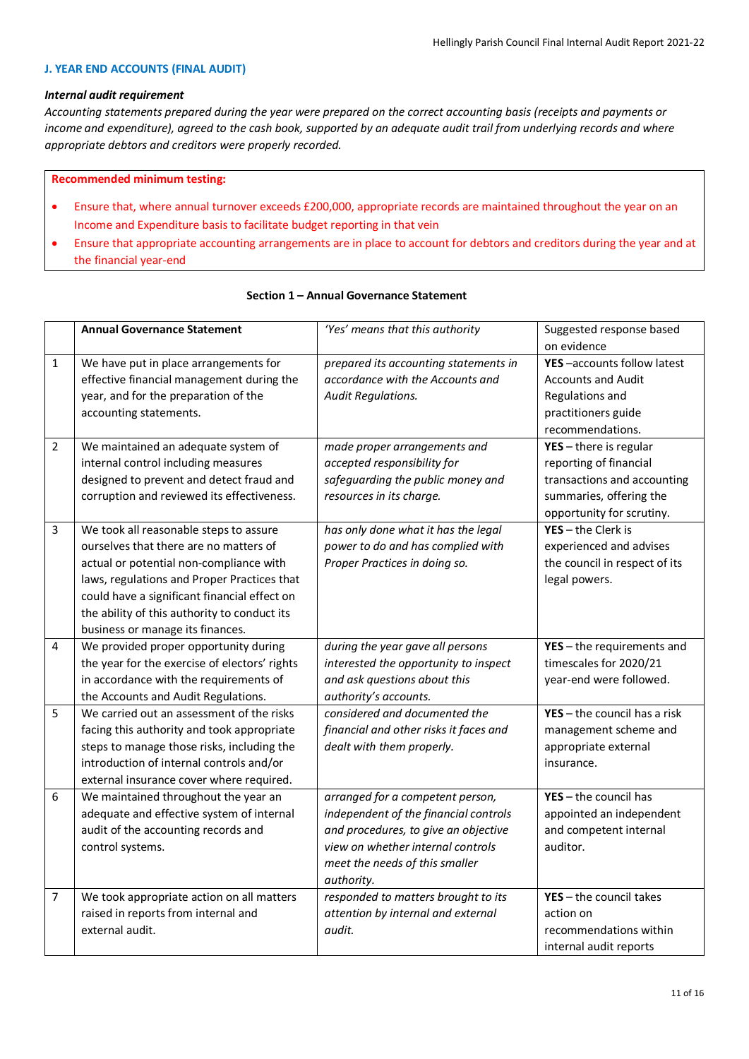### **J. YEAR END ACCOUNTS (FINAL AUDIT)**

# *Internal audit requirement*

*Accounting statements prepared during the year were prepared on the correct accounting basis (receipts and payments or income and expenditure), agreed to the cash book, supported by an adequate audit trail from underlying records and where appropriate debtors and creditors were properly recorded.*

### **Recommended minimum testing:**

- Ensure that, where annual turnover exceeds £200,000, appropriate records are maintained throughout the year on an Income and Expenditure basis to facilitate budget reporting in that vein
- Ensure that appropriate accounting arrangements are in place to account for debtors and creditors during the year and at the financial year-end

|                | <b>Annual Governance Statement</b>                             | 'Yes' means that this authority                                           | Suggested response based                  |
|----------------|----------------------------------------------------------------|---------------------------------------------------------------------------|-------------------------------------------|
| $\mathbf{1}$   |                                                                |                                                                           | on evidence<br>YES-accounts follow latest |
|                | We have put in place arrangements for                          | prepared its accounting statements in<br>accordance with the Accounts and | <b>Accounts and Audit</b>                 |
|                | effective financial management during the                      |                                                                           |                                           |
|                | year, and for the preparation of the<br>accounting statements. | <b>Audit Regulations.</b>                                                 | Regulations and                           |
|                |                                                                |                                                                           | practitioners guide<br>recommendations.   |
| $\overline{2}$ |                                                                |                                                                           |                                           |
|                | We maintained an adequate system of                            | made proper arrangements and                                              | $YES - there$ is regular                  |
|                | internal control including measures                            | accepted responsibility for                                               | reporting of financial                    |
|                | designed to prevent and detect fraud and                       | safeguarding the public money and                                         | transactions and accounting               |
|                | corruption and reviewed its effectiveness.                     | resources in its charge.                                                  | summaries, offering the                   |
|                |                                                                |                                                                           | opportunity for scrutiny.                 |
| 3              | We took all reasonable steps to assure                         | has only done what it has the legal                                       | $YES - the Clerk is$                      |
|                | ourselves that there are no matters of                         | power to do and has complied with                                         | experienced and advises                   |
|                | actual or potential non-compliance with                        | Proper Practices in doing so.                                             | the council in respect of its             |
|                | laws, regulations and Proper Practices that                    |                                                                           | legal powers.                             |
|                | could have a significant financial effect on                   |                                                                           |                                           |
|                | the ability of this authority to conduct its                   |                                                                           |                                           |
|                | business or manage its finances.                               |                                                                           |                                           |
| 4              | We provided proper opportunity during                          | during the year gave all persons                                          | $YES - the requirements$ and              |
|                | the year for the exercise of electors' rights                  | interested the opportunity to inspect                                     | timescales for 2020/21                    |
|                | in accordance with the requirements of                         | and ask questions about this                                              | year-end were followed.                   |
|                | the Accounts and Audit Regulations.                            | authority's accounts.                                                     |                                           |
| 5              | We carried out an assessment of the risks                      | considered and documented the                                             | $YES - the council has a risk$            |
|                | facing this authority and took appropriate                     | financial and other risks it faces and                                    | management scheme and                     |
|                | steps to manage those risks, including the                     | dealt with them properly.                                                 | appropriate external                      |
|                | introduction of internal controls and/or                       |                                                                           | insurance.                                |
|                | external insurance cover where required.                       |                                                                           |                                           |
| 6              | We maintained throughout the year an                           | arranged for a competent person,                                          | $YES - the council has$                   |
|                | adequate and effective system of internal                      | independent of the financial controls                                     | appointed an independent                  |
|                | audit of the accounting records and                            | and procedures, to give an objective                                      | and competent internal                    |
|                | control systems.                                               | view on whether internal controls                                         | auditor.                                  |
|                |                                                                | meet the needs of this smaller                                            |                                           |
|                |                                                                | authority.                                                                |                                           |
| 7              | We took appropriate action on all matters                      | responded to matters brought to its                                       | $YES - the council takes$                 |
|                | raised in reports from internal and                            | attention by internal and external                                        | action on                                 |
|                | external audit.                                                | audit.                                                                    | recommendations within                    |
|                |                                                                |                                                                           | internal audit reports                    |

# **Section 1 – Annual Governance Statement**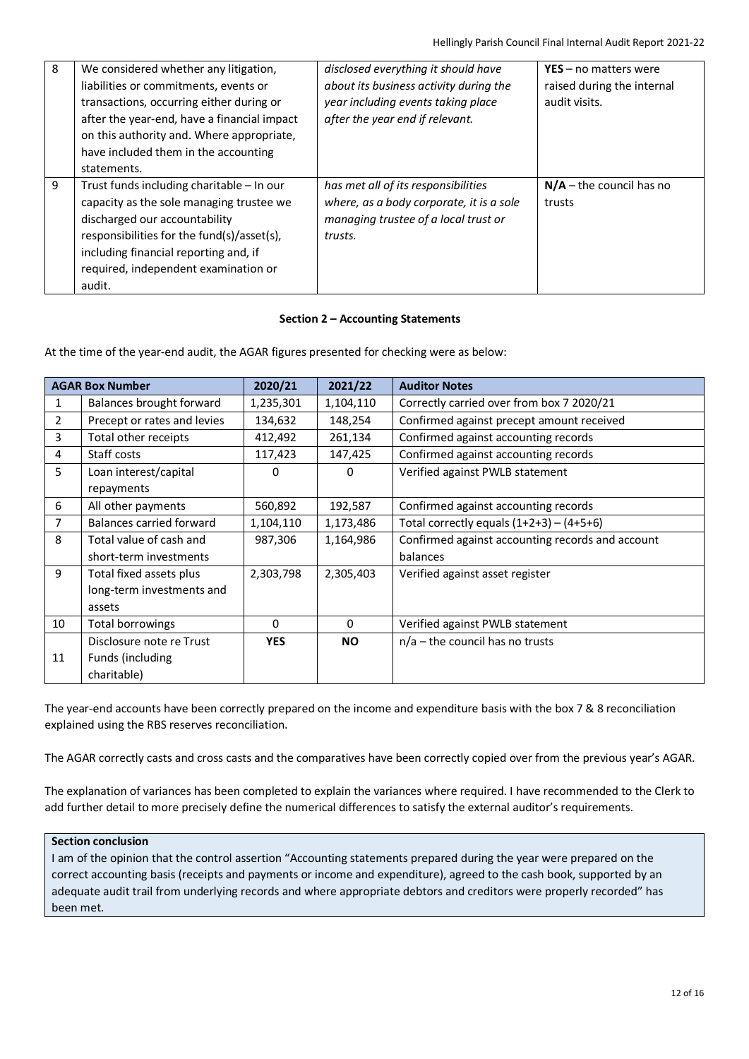| 8 | We considered whether any litigation,<br>liabilities or commitments, events or<br>transactions, occurring either during or<br>after the year-end, have a financial impact<br>on this authority and. Where appropriate,<br>have included them in the accounting<br>statements. | disclosed everything it should have<br>about its business activity during the<br>year including events taking place<br>after the year end if relevant. | $YES - no$ matters were<br>raised during the internal<br>audit visits. |
|---|-------------------------------------------------------------------------------------------------------------------------------------------------------------------------------------------------------------------------------------------------------------------------------|--------------------------------------------------------------------------------------------------------------------------------------------------------|------------------------------------------------------------------------|
| 9 | Trust funds including charitable – In our<br>capacity as the sole managing trustee we<br>discharged our accountability<br>responsibilities for the fund(s)/asset(s),<br>including financial reporting and, if<br>required, independent examination or<br>audit.               | has met all of its responsibilities<br>where, as a body corporate, it is a sole<br>managing trustee of a local trust or<br>trusts.                     | $N/A$ – the council has no<br>trusts                                   |

# **Section 2 – Accounting Statements**

At the time of the year-end audit, the AGAR figures presented for checking were as below:

| <b>AGAR Box Number</b> |                             | 2020/21    | 2021/22   | <b>Auditor Notes</b>                             |
|------------------------|-----------------------------|------------|-----------|--------------------------------------------------|
| 1                      | Balances brought forward    | 1,235,301  | 1,104,110 | Correctly carried over from box 7 2020/21        |
| $\overline{2}$         | Precept or rates and levies | 134,632    | 148,254   | Confirmed against precept amount received        |
| 3                      | Total other receipts        | 412,492    | 261,134   | Confirmed against accounting records             |
| 4                      | Staff costs                 | 117,423    | 147,425   | Confirmed against accounting records             |
| 5                      | Loan interest/capital       | 0          | 0         | Verified against PWLB statement                  |
|                        | repayments                  |            |           |                                                  |
| 6                      | All other payments          | 560,892    | 192,587   | Confirmed against accounting records             |
| 7                      | Balances carried forward    | 1,104,110  | 1,173,486 | Total correctly equals $(1+2+3) - (4+5+6)$       |
| 8                      | Total value of cash and     | 987,306    | 1,164,986 | Confirmed against accounting records and account |
|                        | short-term investments      |            |           | balances                                         |
| 9                      | Total fixed assets plus     | 2,303,798  | 2,305,403 | Verified against asset register                  |
|                        | long-term investments and   |            |           |                                                  |
|                        | assets                      |            |           |                                                  |
| 10                     | Total borrowings            | $\Omega$   | $\Omega$  | Verified against PWLB statement                  |
|                        | Disclosure note re Trust    | <b>YES</b> | <b>NO</b> | $n/a$ – the council has no trusts                |
| 11                     | Funds (including            |            |           |                                                  |
|                        | charitable)                 |            |           |                                                  |

The year-end accounts have been correctly prepared on the income and expenditure basis with the box 7 & 8 reconciliation explained using the RBS reserves reconciliation.

The AGAR correctly casts and cross casts and the comparatives have been correctly copied over from the previous year's AGAR.

The explanation of variances has been completed to explain the variances where required. I have recommended to the Clerk to add further detail to more precisely define the numerical differences to satisfy the external auditor's requirements.

# **Section conclusion**

I am of the opinion that the control assertion "Accounting statements prepared during the year were prepared on the correct accounting basis (receipts and payments or income and expenditure), agreed to the cash book, supported by an adequate audit trail from underlying records and where appropriate debtors and creditors were properly recorded" has been met.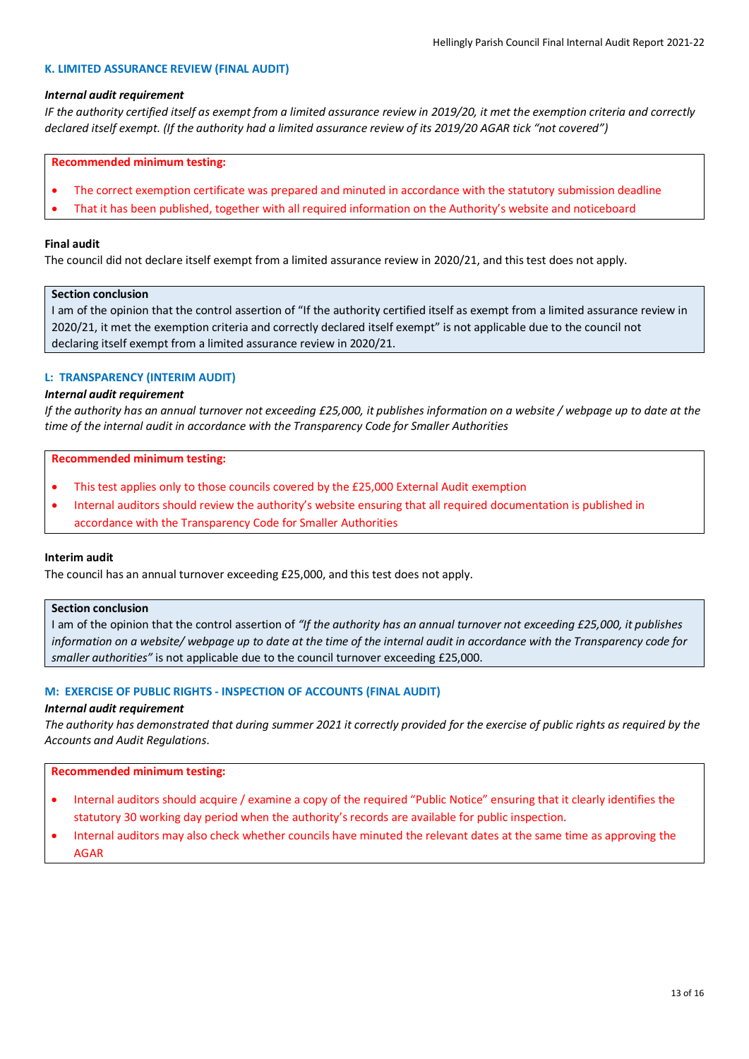#### **K. LIMITED ASSURANCE REVIEW (FINAL AUDIT)**

### *Internal audit requirement*

*IF the authority certified itself as exempt from a limited assurance review in 2019/20, it met the exemption criteria and correctly declared itself exempt. (If the authority had a limited assurance review of its 2019/20 AGAR tick "not covered")*

### **Recommended minimum testing:**

- The correct exemption certificate was prepared and minuted in accordance with the statutory submission deadline
- That it has been published, together with all required information on the Authority's website and noticeboard

# **Final audit**

The council did not declare itself exempt from a limited assurance review in 2020/21, and this test does not apply.

### **Section conclusion**

I am of the opinion that the control assertion of "If the authority certified itself as exempt from a limited assurance review in 2020/21, it met the exemption criteria and correctly declared itself exempt" is not applicable due to the council not declaring itself exempt from a limited assurance review in 2020/21.

# **L: TRANSPARENCY (INTERIM AUDIT)**

# *Internal audit requirement*

*If the authority has an annual turnover not exceeding £25,000, it publishes information on a website / webpage up to date at the time of the internal audit in accordance with the Transparency Code for Smaller Authorities*

### **Recommended minimum testing:**

- This test applies only to those councils covered by the £25,000 External Audit exemption
- Internal auditors should review the authority's website ensuring that all required documentation is published in accordance with the Transparency Code for Smaller Authorities

# **Interim audit**

The council has an annual turnover exceeding £25,000, and this test does not apply.

### **Section conclusion**

I am of the opinion that the control assertion of *"If the authority has an annual turnover not exceeding £25,000, it publishes information on a website/ webpage up to date at the time of the internal audit in accordance with the Transparency code for smaller authorities"* is not applicable due to the council turnover exceeding £25,000.

# **M: EXERCISE OF PUBLIC RIGHTS - INSPECTION OF ACCOUNTS (FINAL AUDIT)**

### *Internal audit requirement*

*The authority has demonstrated that during summer 2021 it correctly provided for the exercise of public rights as required by the Accounts and Audit Regulations*.

- Internal auditors should acquire / examine a copy of the required "Public Notice" ensuring that it clearly identifies the statutory 30 working day period when the authority's records are available for public inspection.
- Internal auditors may also check whether councils have minuted the relevant dates at the same time as approving the AGAR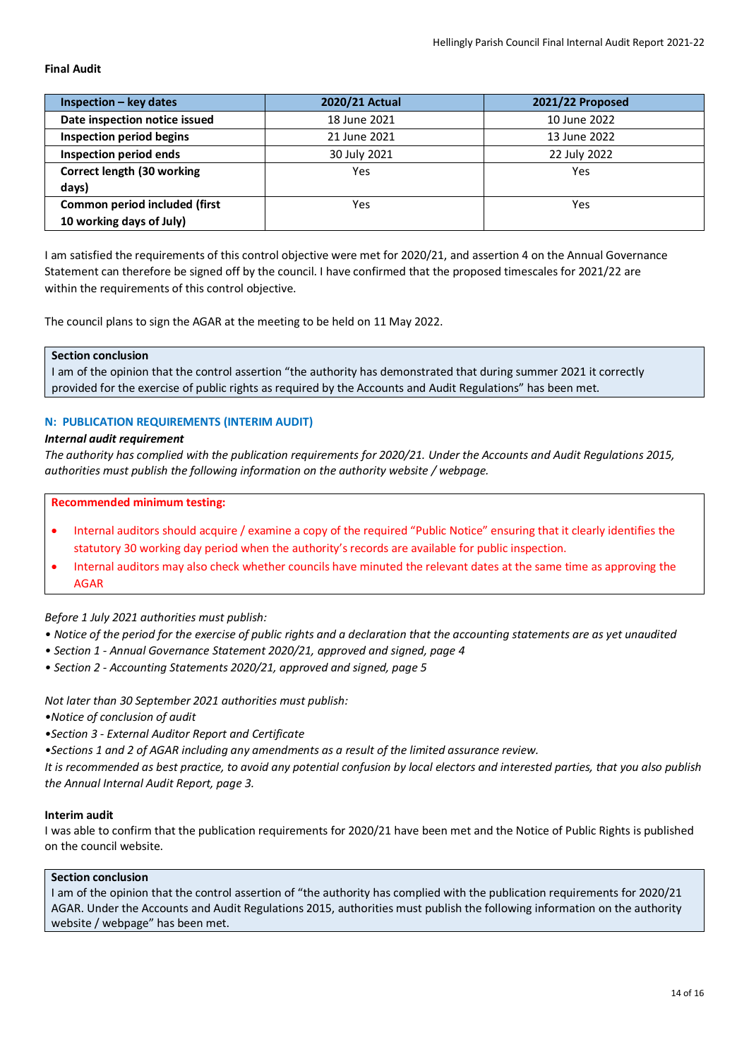### **Final Audit**

| $Inspection - key dates$        | 2020/21 Actual | 2021/22 Proposed |
|---------------------------------|----------------|------------------|
| Date inspection notice issued   | 18 June 2021   | 10 June 2022     |
| <b>Inspection period begins</b> | 21 June 2021   | 13 June 2022     |
| <b>Inspection period ends</b>   | 30 July 2021   | 22 July 2022     |
| Correct length (30 working      | Yes            | Yes              |
| days)                           |                |                  |
| Common period included (first   | Yes            | Yes              |
| 10 working days of July)        |                |                  |

I am satisfied the requirements of this control objective were met for 2020/21, and assertion 4 on the Annual Governance Statement can therefore be signed off by the council. I have confirmed that the proposed timescales for 2021/22 are within the requirements of this control objective.

The council plans to sign the AGAR at the meeting to be held on 11 May 2022.

# **Section conclusion**

I am of the opinion that the control assertion "the authority has demonstrated that during summer 2021 it correctly provided for the exercise of public rights as required by the Accounts and Audit Regulations" has been met.

### **N: PUBLICATION REQUIREMENTS (INTERIM AUDIT)**

#### *Internal audit requirement*

*The authority has complied with the publication requirements for 2020/21. Under the Accounts and Audit Regulations 2015, authorities must publish the following information on the authority website / webpage.*

### **Recommended minimum testing:**

- Internal auditors should acquire / examine a copy of the required "Public Notice" ensuring that it clearly identifies the statutory 30 working day period when the authority's records are available for public inspection.
- Internal auditors may also check whether councils have minuted the relevant dates at the same time as approving the AGAR

# *Before 1 July 2021 authorities must publish:*

- *Notice of the period for the exercise of public rights and a declaration that the accounting statements are as yet unaudited*
- *Section 1 Annual Governance Statement 2020/21, approved and signed, page 4*
- *Section 2 Accounting Statements 2020/21, approved and signed, page 5*

*Not later than 30 September 2021 authorities must publish:*

*•Notice of conclusion of audit*

*•Section 3 - External Auditor Report and Certificate*

*•Sections 1 and 2 of AGAR including any amendments as a result of the limited assurance review.*

*It is recommended as best practice, to avoid any potential confusion by local electors and interested parties, that you also publish the Annual Internal Audit Report, page 3.*

# **Interim audit**

I was able to confirm that the publication requirements for 2020/21 have been met and the Notice of Public Rights is published on the council website.

#### **Section conclusion**

I am of the opinion that the control assertion of "the authority has complied with the publication requirements for 2020/21 AGAR. Under the Accounts and Audit Regulations 2015, authorities must publish the following information on the authority website / webpage" has been met.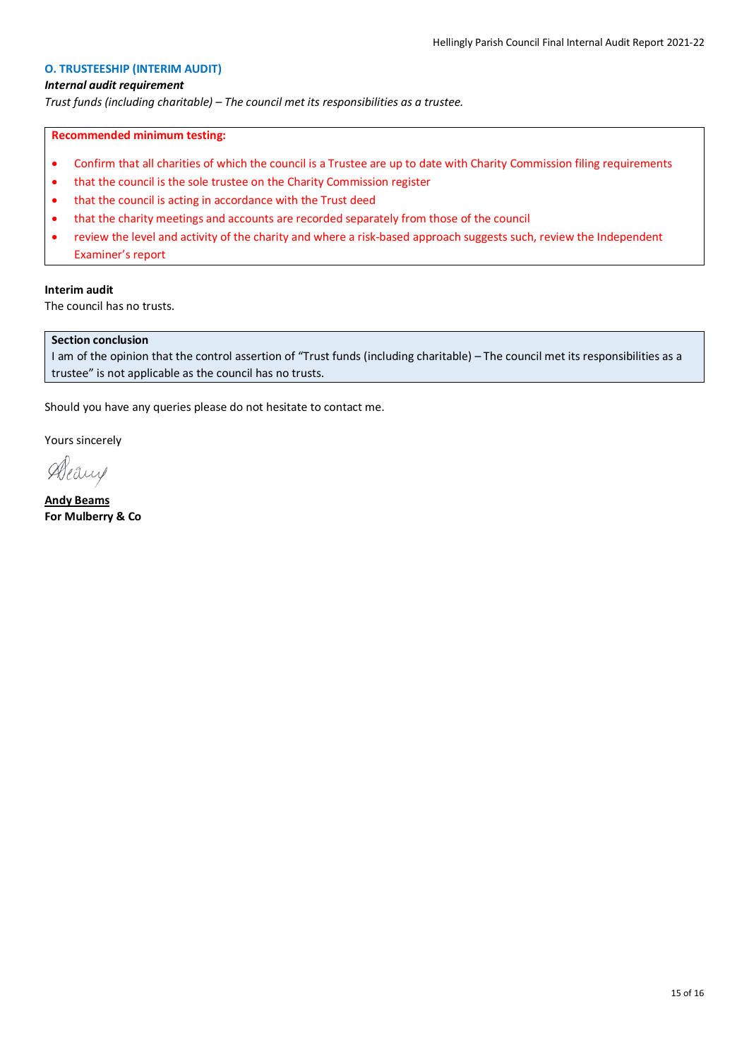# **O. TRUSTEESHIP (INTERIM AUDIT)**

### *Internal audit requirement*

*Trust funds (including charitable) – The council met its responsibilities as a trustee.*

# **Recommended minimum testing:**

- Confirm that all charities of which the council is a Trustee are up to date with Charity Commission filing requirements
- that the council is the sole trustee on the Charity Commission register
- that the council is acting in accordance with the Trust deed
- that the charity meetings and accounts are recorded separately from those of the council
- review the level and activity of the charity and where a risk-based approach suggests such, review the Independent Examiner's report

# **Interim audit**

The council has no trusts.

# **Section conclusion**

I am of the opinion that the control assertion of "Trust funds (including charitable) – The council met its responsibilities as a trustee" is not applicable as the council has no trusts.

Should you have any queries please do not hesitate to contact me.

Yours sincerely

Aleaux

**Andy Beams For Mulberry & Co**